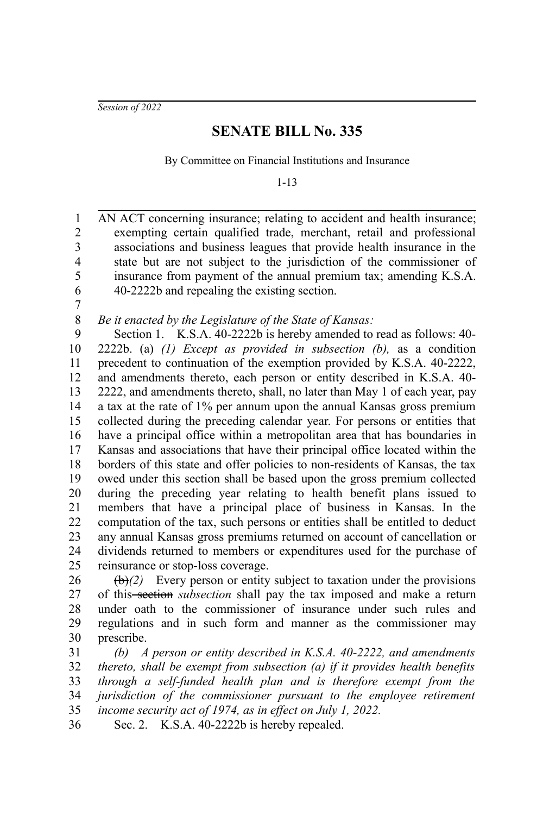*Session of 2022*

## **SENATE BILL No. 335**

By Committee on Financial Institutions and Insurance

1-13

AN ACT concerning insurance; relating to accident and health insurance; exempting certain qualified trade, merchant, retail and professional associations and business leagues that provide health insurance in the state but are not subject to the jurisdiction of the commissioner of insurance from payment of the annual premium tax; amending K.S.A. 40-2222b and repealing the existing section. 1 2 3 4 5 6

7

## *Be it enacted by the Legislature of the State of Kansas:* 8

Section 1. K.S.A. 40-2222b is hereby amended to read as follows: 40-2222b. (a) *(1) Except as provided in subsection (b),* as a condition precedent to continuation of the exemption provided by K.S.A. 40-2222, and amendments thereto, each person or entity described in K.S.A. 40- 2222, and amendments thereto, shall, no later than May 1 of each year, pay a tax at the rate of 1% per annum upon the annual Kansas gross premium collected during the preceding calendar year. For persons or entities that have a principal office within a metropolitan area that has boundaries in Kansas and associations that have their principal office located within the borders of this state and offer policies to non-residents of Kansas, the tax owed under this section shall be based upon the gross premium collected during the preceding year relating to health benefit plans issued to members that have a principal place of business in Kansas. In the computation of the tax, such persons or entities shall be entitled to deduct any annual Kansas gross premiums returned on account of cancellation or dividends returned to members or expenditures used for the purchase of reinsurance or stop-loss coverage. 9 10 11 12 13 14 15 16 17 18 19 20 21 22 23 24 25

 $(\theta)$ <sup>(2)</sup> Every person or entity subject to taxation under the provisions of this section *subsection* shall pay the tax imposed and make a return under oath to the commissioner of insurance under such rules and regulations and in such form and manner as the commissioner may prescribe. 26 27 28 29 30

*(b) A person or entity described in K.S.A. 40-2222, and amendments thereto, shall be exempt from subsection (a) if it provides health benefits through a self-funded health plan and is therefore exempt from the jurisdiction of the commissioner pursuant to the employee retirement income security act of 1974, as in effect on July 1, 2022.* 31 32 33 34 35

Sec. 2. K.S.A. 40-2222b is hereby repealed. 36